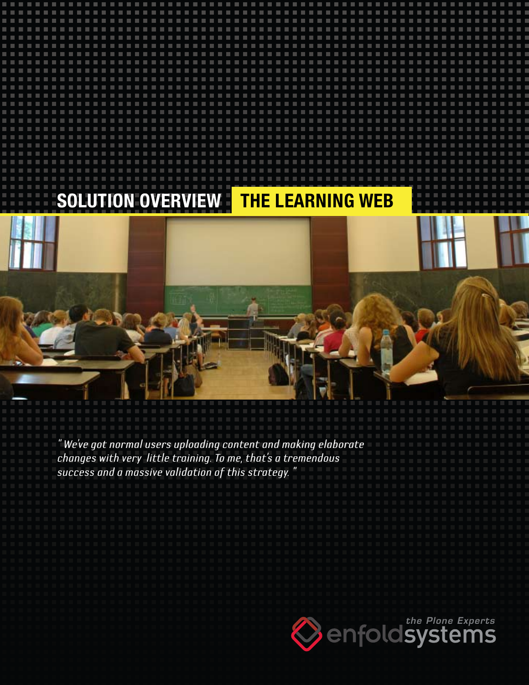# **Solution Overview The Learning Web**

*" We've got normal users uploading content and making elaborate changes with very little training. To me, that's a tremendous success and a massive validation of this strategy. "*

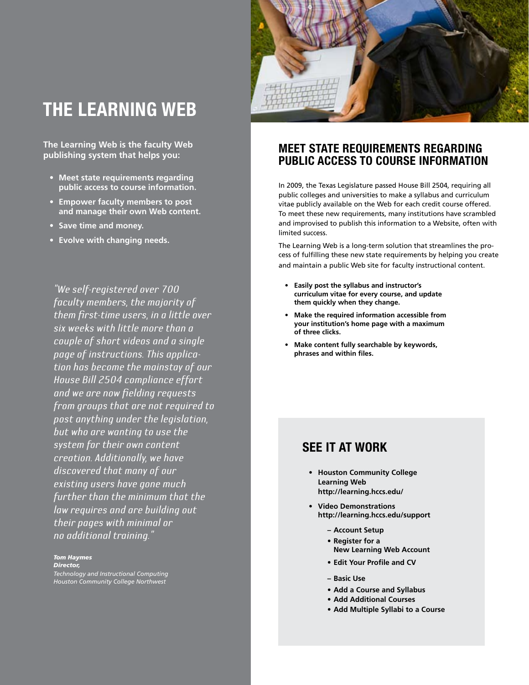## **The Learning Web**

**The Learning Web is the faculty Web publishing system that helps you:**

- **• Meet state requirements regarding public access to course information.**
- **• Empower faculty members to post and manage their own Web content.**
- **• Save time and money.**
- **• Evolve with changing needs.**

*"We self-registered over 700 faculty members, the majority of them first-time users, in a little over six weeks with little more than a couple of short videos and a single page of instructions. This application has become the mainstay of our House Bill 2504 compliance effort and we are now fielding requests from groups that are not required to post anything under the legislation, but who are wanting to use the system for their own content creation. Additionally, we have discovered that many of our existing users have gone much further than the minimum that the law requires and are building out their pages with minimal or no additional training."*

#### *Tom Haymes*

*Director, Technology and Instructional Computing*

*Houston Community College Northwest*



### **Meet state requirements regarding public access to course information**

In 2009, the Texas Legislature passed House Bill 2504, requiring all public colleges and universities to make a syllabus and curriculum vitae publicly available on the Web for each credit course offered. To meet these new requirements, many institutions have scrambled and improvised to publish this information to a Website, often with limited success.

The Learning Web is a long-term solution that streamlines the process of fulfilling these new state requirements by helping you create and maintain a public Web site for faculty instructional content.

- **• Easily post the syllabus and instructor's curriculum vitae for every course, and update them quickly when they change.**
- **• Make the required information accessible from your institution's home page with a maximum of three clicks.**
- **• Make content fully searchable by keywords, phrases and within files.**

### **See it at work**

- **• Houston Community College Learning Web http://learning.hccs.edu/**
- **• Video Demonstrations http://learning.hccs.edu/support**
	- **– Account Setup**
	- **• Register for a New Learning Web Account**
	- **• Edit Your Profile and CV**
	- **– Basic Use**
	- **• Add a Course and Syllabus**
	- **• Add Additional Courses**
	- **• Add Multiple Syllabi to a Course**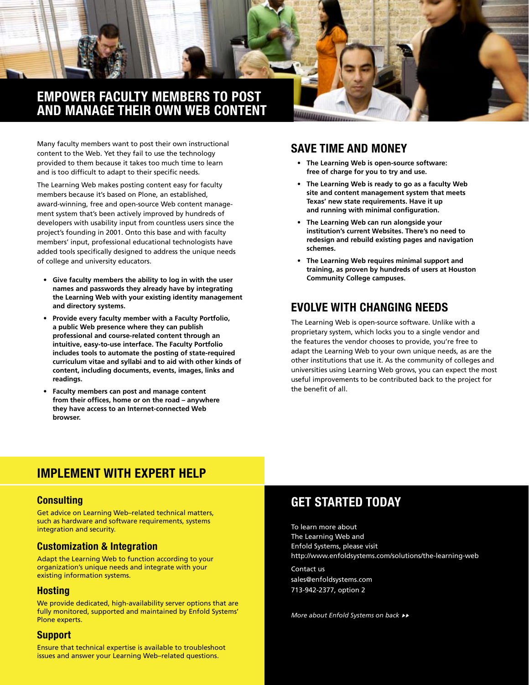

Many faculty members want to post their own instructional content to the Web. Yet they fail to use the technology provided to them because it takes too much time to learn and is too difficult to adapt to their specific needs.

The Learning Web makes posting content easy for faculty members because it's based on Plone, an established, award-winning, free and open-source Web content management system that's been actively improved by hundreds of developers with usability input from countless users since the project's founding in 2001. Onto this base and with faculty members' input, professional educational technologists have added tools specifically designed to address the unique needs of college and university educators.

- **• Give faculty members the ability to log in with the user names and passwords they already have by integrating the Learning Web with your existing identity management and directory systems.**
- **Provide every faculty member with a Faculty Portfolio, a public Web presence where they can publish professional and course-related content through an intuitive, easy-to-use interface. The Faculty Portfolio includes tools to automate the posting of state-required curriculum vitae and syllabi and to aid with other kinds of content, including documents, events, images, links and readings.**
- **Faculty members can post and manage content from their offices, home or on the road – anywhere they have access to an Internet-connected Web browser.**

### **Save time and money**

- **• The Learning Web is open-source software: free of charge for you to try and use.**
- **• The Learning Web is ready to go as a faculty Web site and content management system that meets Texas' new state requirements. Have it up and running with minimal configuration.**
- **• The Learning Web can run alongside your institution's current Websites. There's no need to redesign and rebuild existing pages and navigation schemes.**
- **The Learning Web requires minimal support and training, as proven by hundreds of users at Houston Community College campuses.**

## **Evolve with changing needs**

The Learning Web is open-source software. Unlike with a proprietary system, which locks you to a single vendor and the features the vendor chooses to provide, you're free to adapt the Learning Web to your own unique needs, as are the other institutions that use it. As the community of colleges and universities using Learning Web grows, you can expect the most useful improvements to be contributed back to the project for the benefit of all.

## **Implement with expert help**

#### **Consulting**

Get advice on Learning Web–related technical matters, such as hardware and software requirements, systems integration and security.

#### **Customization & Integration**

Adapt the Learning Web to function according to your organization's unique needs and integrate with your existing information systems.

#### **Hosting**

We provide dedicated, high-availability server options that are fully monitored, supported and maintained by Enfold Systems' Plone experts.

#### **Support**

Ensure that technical expertise is available to troubleshoot issues and answer your Learning Web–related questions.

## **Get started today**

To learn more about The Learning Web and Enfold Systems, please visit http://www.enfoldsystems.com/solutions/the-learning-web

Contact us sales@enfoldsystems.com 713-942-2377, option 2

*More about Enfold Systems on back*